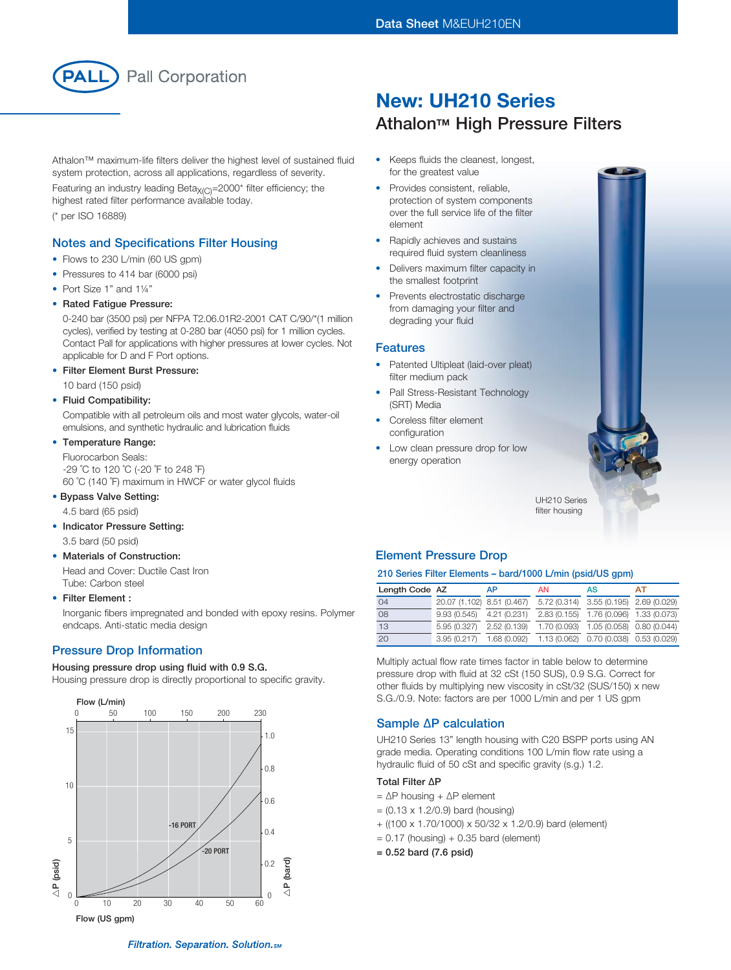

Athalon™ maximum-life filters deliver the highest level of sustained fluid system protection, across all applications, regardless of severity.

Featuring an industry leading Beta $X_{(C)}$ =2000\* filter efficiency; the highest rated filter performance available today. (\* per ISO 16889)

### Notes and Specifications Filter Housing

- Flows to 230 L/min (60 US gpm)
- Pressures to 414 bar (6000 psi)
- Port Size 1" and 1¼"
- Rated Fatique Pressure:

0-240 bar (3500 psi) per NFPA T2.06.01R2-2001 CAT C/90/\*(1 million cycles), verified by testing at 0-280 bar (4050 psi) for 1 million cycles. Contact Pall for applications with higher pressures at lower cycles. Not applicable for D and F Port options.

**Filter Element Burst Pressure:** 

10 bard (150 psid)

• Fluid Compatibility:

Compatible with all petroleum oils and most water glycols, water-oil emulsions, and synthetic hydraulic and lubrication fluids

### • Temperature Range:

Fluorocarbon Seals: -29 ˚C to 120 ˚C (-20 ˚F to 248 ˚F) 60 ˚C (140 ˚F) maximum in HWCF or water glycol fluids

• Bypass Valve Setting:

4.5 bard (65 psid)

• Indicator Pressure Setting:

3.5 bard (50 psid)

#### **Materials of Construction:**

Head and Cover: Ductile Cast Iron Tube: Carbon steel

#### • Filter Element :

Inorganic fibers impregnated and bonded with epoxy resins. Polymer endcaps. Anti-static media design

### Pressure Drop Information

#### Housing pressure drop using fluid with 0.9 S.G.

Housing pressure drop is directly proportional to specific gravity.



# New: UH210 Series **Athalon™ High Pressure Filters**

- • Keeps fluids the cleanest, longest, for the greatest value
- Provides consistent, reliable, protection of system components over the full service life of the filter element
- Rapidly achieves and sustains required fluid system cleanliness
- Delivers maximum filter capacity in the smallest footprint
- Prevents electrostatic discharge from damaging your filter and degrading your fluid

#### Features

- Patented Ultipleat (laid-over pleat) filter medium pack
- Pall Stress-Resistant Technology (SRT) Media
- Coreless filter element configuration
- Low clean pressure drop for low energy operation



UH210 Series filter housing

### Element Pressure Drop

#### 210 Series Filter Elements – bard/1000 L/min (psid/US gpm)

| Length Code AZ |                            | <b>AP</b>                                                        | <b>AN</b> | AS                                     | AТ |
|----------------|----------------------------|------------------------------------------------------------------|-----------|----------------------------------------|----|
| 04             | 20.07 (1.102) 8.51 (0.467) |                                                                  |           | 5.72 (0.314) 3.55 (0.195) 2.69 (0.029) |    |
| 08             | $9.93(0.545)$ 4.21 (0.231) |                                                                  |           | 2.83 (0.155) 1.76 (0.096) 1.33 (0.073) |    |
| 13             | 5.95 (0.327)               | 2.52 (0.139)                                                     |           | 1.70 (0.093) 1.05 (0.058) 0.80 (0.044) |    |
| 20             |                            | 3.95 (0.217) 1.68 (0.092) 1.13 (0.062) 0.70 (0.038) 0.53 (0.029) |           |                                        |    |

Multiply actual flow rate times factor in table below to determine pressure drop with fluid at 32 cSt (150 SUS), 0.9 S.G. Correct for other fluids by multiplying new viscosity in cSt/32 (SUS/150) x new S.G./0.9. Note: factors are per 1000 L/min and per 1 US gpm

### Sample ∆P calculation

UH210 Series 13" length housing with C20 BSPP ports using AN grade media. Operating conditions 100 L/min flow rate using a hydraulic fluid of 50 cSt and specific gravity (s.g.) 1.2.

#### Total Filter ∆P

- = ∆P housing + ∆P element
- $= (0.13 \times 1.2/0.9)$  bard (housing)
- + ((100 x 1.70/1000) x 50/32 x 1.2/0.9) bard (element)
- $= 0.17$  (housing)  $+ 0.35$  bard (element)
- = 0.52 bard (7.6 psid)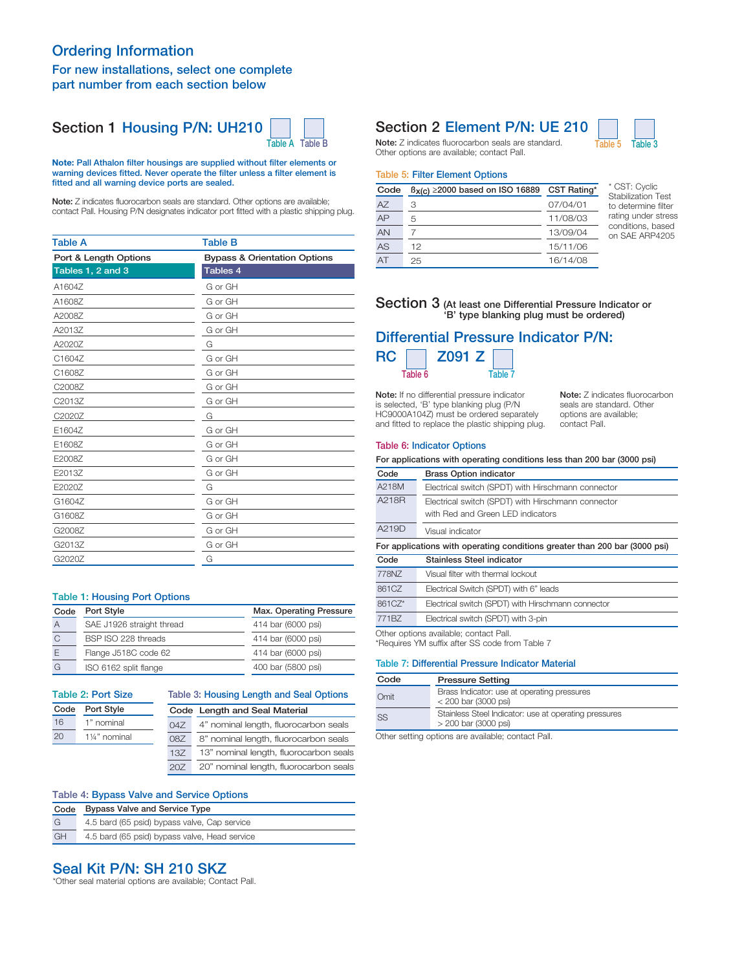## Ordering Information For new installations, select one complete part number from each section below

## Section 1 Housing P/N: UH210



#### Note: Pall Athalon filter housings are supplied without filter elements or warning devices fitted. Never operate the filter unless a filter element is fitted and all warning device ports are sealed.

Note: Z indicates fluorocarbon seals are standard. Other options are available: contact Pall. Housing P/N designates indicator port fitted with a plastic shipping plug.

| <b>Table A</b>        | <b>Table B</b>                          |
|-----------------------|-----------------------------------------|
| Port & Length Options | <b>Bypass &amp; Orientation Options</b> |
| Tables 1, 2 and 3     | Tables 4                                |
| A1604Z                | G or GH                                 |
| A1608Z                | G or GH                                 |
| A2008Z                | G or GH                                 |
| A2013Z                | G or GH                                 |
| A2020Z                | G                                       |
| C1604Z                | G or GH                                 |
| C1608Z                | G or GH                                 |
| C2008Z                | G or GH                                 |
| C2013Z                | G or GH                                 |
| C2020Z                | G                                       |
| E1604Z                | G or GH                                 |
| E1608Z                | G or GH                                 |
| E2008Z                | G or GH                                 |
| E2013Z                | G or GH                                 |
| E2020Z                | G                                       |
| G1604Z                | G or GH                                 |
| G1608Z                | G or GH                                 |
| G2008Z                | G or GH                                 |
| G2013Z                | G or GH                                 |
| G2020Z                | G                                       |

#### Table 1: Housing Port Options

| Code          | Port Style                | Max. Operating Pressure |
|---------------|---------------------------|-------------------------|
| A             | SAE J1926 straight thread | 414 bar (6000 psi)      |
| $\mathcal{C}$ | BSP ISO 228 threads       | 414 bar (6000 psi)      |
| E             | Flange J518C code 62      | 414 bar (6000 psi)      |
| G             | ISO 6162 split flange     | 400 bar (5800 psi)      |

#### Table 2: Port Size

| Code | Port Style                 |  |
|------|----------------------------|--|
| 16   | 1" nominal                 |  |
| 20   | 11/ <sub>4</sub> " nominal |  |

| Table 3: Housing Length and Seal Options |                                        |  |  |  |
|------------------------------------------|----------------------------------------|--|--|--|
| Code Length and Seal Material            |                                        |  |  |  |
| 047                                      | 4" nominal length, fluorocarbon seals  |  |  |  |
| 08Z                                      | 8" nominal length, fluorocarbon seals  |  |  |  |
| 13Z                                      | 13" nominal length, fluorocarbon seals |  |  |  |
| 207                                      | 20" nominal length, fluorocarbon seals |  |  |  |

#### Table 4: Bypass Valve and Service Options

| Code | <b>Bypass Valve and Service Type</b>          |  |  |
|------|-----------------------------------------------|--|--|
| G    | 4.5 bard (65 psid) bypass valve, Cap service  |  |  |
| GH   | 4.5 bard (65 psid) bypass valve, Head service |  |  |

## Seal Kit P/N: SH 210 SKZ

\*Other seal material options are available; Contact Pall.

## Section 2 Element P/N: UE 210

Note: Z indicates fluorocarbon seals are standard. Table 5 Table 3 Other options are available; contact Pall.

#### Table 5: Filter Element Options

| Code      | $B_{X(C)} \ge 2000$ based on ISO 16889 | CST Rating* |
|-----------|----------------------------------------|-------------|
| A7        | З                                      | 07/04/01    |
| AP        | 5                                      | 11/08/03    |
| <b>AN</b> |                                        | 13/09/04    |
| AS        | 12                                     | 15/11/06    |
| AT        | 25                                     | 16/14/08    |

\* CST: Cyclic Stabilization Test to determine filter rating under stress conditions, based on SAE ARP4205

#### Section 3 (At least one Differential Pressure Indicator or 'B' type blanking plug must be ordered)

## Differential Pressure Indicator P/N:  $RC \square$  7091  $7 \square$

| Table 6 |  | Table 7 |
|---------|--|---------|
|         |  |         |

Note: If no differential pressure indicator is selected, 'B' type blanking plug (P/N HC9000A104Z) must be ordered separately and fitted to replace the plastic shipping plug.

Note: Z indicates fluorocarbon seals are standard. Other options are available; contact Pall.

#### Table 6: Indicator Options

For applications with operating conditions less than 200 bar (3000 psi)

| Code                                                                       | <b>Brass Option indicator</b>                      |  |
|----------------------------------------------------------------------------|----------------------------------------------------|--|
| A218M                                                                      | Electrical switch (SPDT) with Hirschmann connector |  |
| A218R                                                                      | Electrical switch (SPDT) with Hirschmann connector |  |
|                                                                            | with Red and Green LED indicators                  |  |
| A219D                                                                      | Visual indicator                                   |  |
| For applications with operating conditions greater than 200 bar (3000 psi) |                                                    |  |
|                                                                            |                                                    |  |
| Code                                                                       | Stainless Steel indicator                          |  |
| 778NZ                                                                      | Visual filter with thermal lockout                 |  |
| 861CZ                                                                      | Electrical Switch (SPDT) with 6" leads             |  |
| 861CZ*                                                                     | Electrical switch (SPDT) with Hirschmann connector |  |
| 771BZ                                                                      | Electrical switch (SPDT) with 3-pin                |  |

\*Requires YM suffix after SS code from Table 7

#### Table 7: Differential Pressure Indicator Material

| Code      | <b>Pressure Setting</b>                                                         |
|-----------|---------------------------------------------------------------------------------|
| Omit      | Brass Indicator: use at operating pressures<br>$<$ 200 bar (3000 psi)           |
| <b>SS</b> | Stainless Steel Indicator: use at operating pressures<br>$> 200$ bar (3000 psi) |

Other setting options are available; contact Pall.